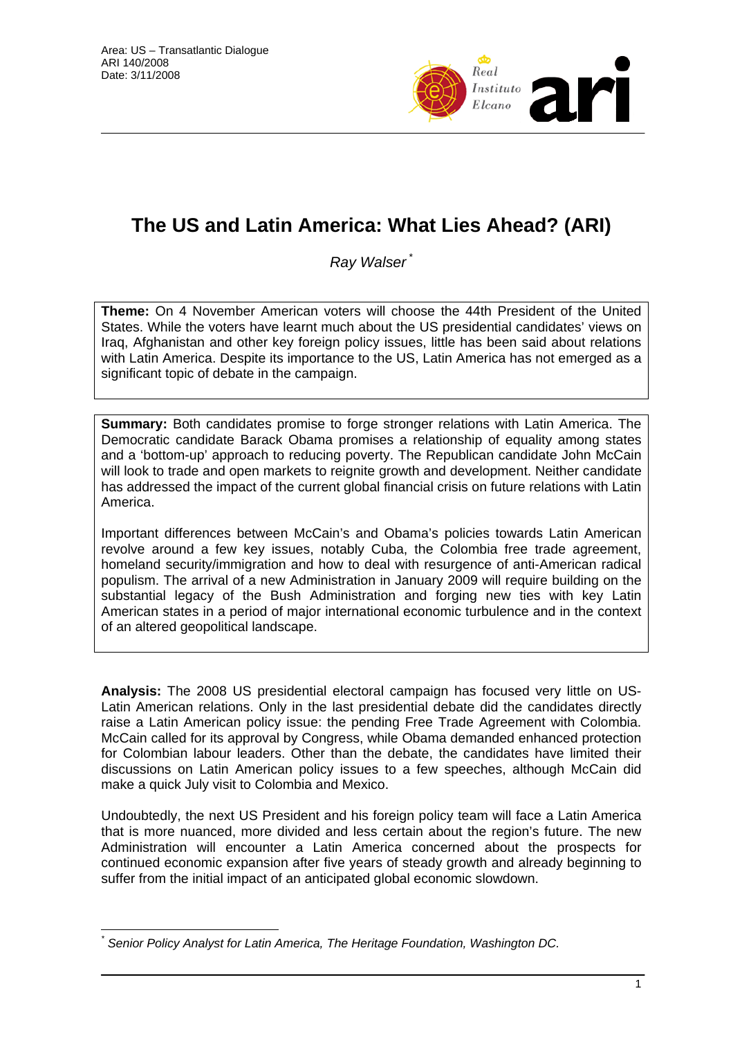

# **The US and Latin America: What Lies Ahead? (ARI)**

**Ray Walser** 

**Theme:** On 4 November American voters will choose the 44th President of the United States. While the voters have learnt much about the US presidential candidates' views on Iraq, Afghanistan and other key foreign policy issues, little has been said about relations with Latin America. Despite its importance to the US, Latin America has not emerged as a significant topic of debate in the campaign.

**Summary:** Both candidates promise to forge stronger relations with Latin America. The Democratic candidate Barack Obama promises a relationship of equality among states and a 'bottom-up' approach to reducing poverty. The Republican candidate John McCain will look to trade and open markets to reignite growth and development. Neither candidate has addressed the impact of the current global financial crisis on future relations with Latin America.

Important differences between McCain's and Obama's policies towards Latin American revolve around a few key issues, notably Cuba, the Colombia free trade agreement, homeland security/immigration and how to deal with resurgence of anti-American radical populism. The arrival of a new Administration in January 2009 will require building on the substantial legacy of the Bush Administration and forging new ties with key Latin American states in a period of major international economic turbulence and in the context of an altered geopolitical landscape.

**Analysis:** The 2008 US presidential electoral campaign has focused very little on US-Latin American relations. Only in the last presidential debate did the candidates directly raise a Latin American policy issue: the pending Free Trade Agreement with Colombia. McCain called for its approval by Congress, while Obama demanded enhanced protection for Colombian labour leaders. Other than the debate, the candidates have limited their discussions on Latin American policy issues to a few speeches, although McCain did make a quick July visit to Colombia and Mexico.

Undoubtedly, the next US President and his foreign policy team will face a Latin America that is more nuanced, more divided and less certain about the region's future. The new Administration will encounter a Latin America concerned about the prospects for continued economic expansion after five years of steady growth and already beginning to suffer from the initial impact of an anticipated global economic slowdown.

 $\overline{a}$ *\* Senior Policy Analyst for Latin America, The Heritage Foundation, Washington DC.*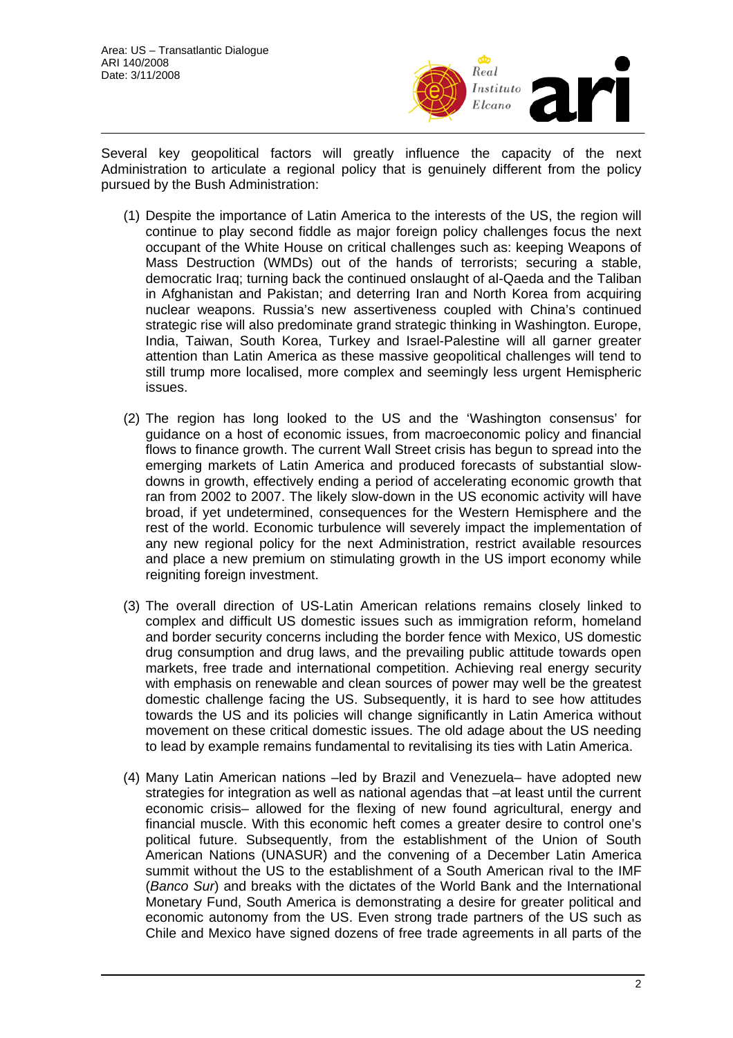

Several key geopolitical factors will greatly influence the capacity of the next Administration to articulate a regional policy that is genuinely different from the policy pursued by the Bush Administration:

- (1) Despite the importance of Latin America to the interests of the US, the region will continue to play second fiddle as major foreign policy challenges focus the next occupant of the White House on critical challenges such as: keeping Weapons of Mass Destruction (WMDs) out of the hands of terrorists; securing a stable, democratic Iraq; turning back the continued onslaught of al-Qaeda and the Taliban in Afghanistan and Pakistan; and deterring Iran and North Korea from acquiring nuclear weapons. Russia's new assertiveness coupled with China's continued strategic rise will also predominate grand strategic thinking in Washington. Europe, India, Taiwan, South Korea, Turkey and Israel-Palestine will all garner greater attention than Latin America as these massive geopolitical challenges will tend to still trump more localised, more complex and seemingly less urgent Hemispheric issues.
- (2) The region has long looked to the US and the 'Washington consensus' for guidance on a host of economic issues, from macroeconomic policy and financial flows to finance growth. The current Wall Street crisis has begun to spread into the emerging markets of Latin America and produced forecasts of substantial slowdowns in growth, effectively ending a period of accelerating economic growth that ran from 2002 to 2007. The likely slow-down in the US economic activity will have broad, if yet undetermined, consequences for the Western Hemisphere and the rest of the world. Economic turbulence will severely impact the implementation of any new regional policy for the next Administration, restrict available resources and place a new premium on stimulating growth in the US import economy while reigniting foreign investment.
- (3) The overall direction of US-Latin American relations remains closely linked to complex and difficult US domestic issues such as immigration reform, homeland and border security concerns including the border fence with Mexico, US domestic drug consumption and drug laws, and the prevailing public attitude towards open markets, free trade and international competition. Achieving real energy security with emphasis on renewable and clean sources of power may well be the greatest domestic challenge facing the US. Subsequently, it is hard to see how attitudes towards the US and its policies will change significantly in Latin America without movement on these critical domestic issues. The old adage about the US needing to lead by example remains fundamental to revitalising its ties with Latin America.
- (4) Many Latin American nations –led by Brazil and Venezuela– have adopted new strategies for integration as well as national agendas that –at least until the current economic crisis– allowed for the flexing of new found agricultural, energy and financial muscle. With this economic heft comes a greater desire to control one's political future. Subsequently, from the establishment of the Union of South American Nations (UNASUR) and the convening of a December Latin America summit without the US to the establishment of a South American rival to the IMF (*Banco Sur*) and breaks with the dictates of the World Bank and the International Monetary Fund, South America is demonstrating a desire for greater political and economic autonomy from the US. Even strong trade partners of the US such as Chile and Mexico have signed dozens of free trade agreements in all parts of the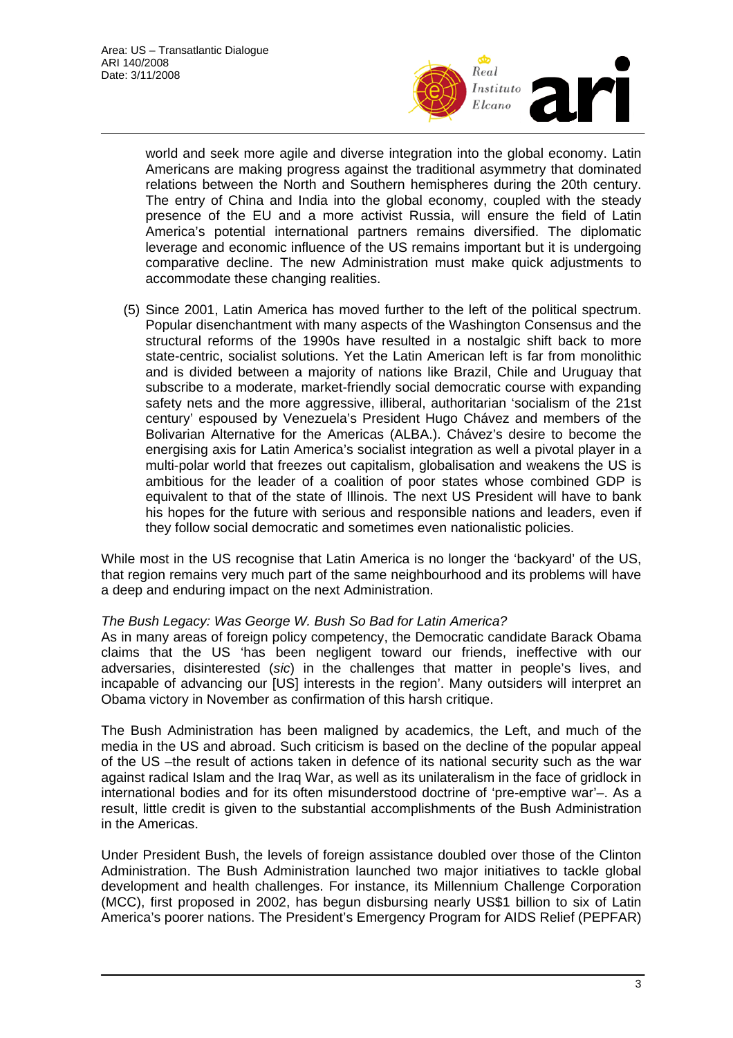

world and seek more agile and diverse integration into the global economy. Latin Americans are making progress against the traditional asymmetry that dominated relations between the North and Southern hemispheres during the 20th century. The entry of China and India into the global economy, coupled with the steady presence of the EU and a more activist Russia, will ensure the field of Latin America's potential international partners remains diversified. The diplomatic leverage and economic influence of the US remains important but it is undergoing comparative decline. The new Administration must make quick adjustments to accommodate these changing realities.

(5) Since 2001, Latin America has moved further to the left of the political spectrum. Popular disenchantment with many aspects of the Washington Consensus and the structural reforms of the 1990s have resulted in a nostalgic shift back to more state-centric, socialist solutions. Yet the Latin American left is far from monolithic and is divided between a majority of nations like Brazil, Chile and Uruguay that subscribe to a moderate, market-friendly social democratic course with expanding safety nets and the more aggressive, illiberal, authoritarian 'socialism of the 21st century' espoused by Venezuela's President Hugo Chávez and members of the Bolivarian Alternative for the Americas (ALBA.). Chávez's desire to become the energising axis for Latin America's socialist integration as well a pivotal player in a multi-polar world that freezes out capitalism, globalisation and weakens the US is ambitious for the leader of a coalition of poor states whose combined GDP is equivalent to that of the state of Illinois. The next US President will have to bank his hopes for the future with serious and responsible nations and leaders, even if they follow social democratic and sometimes even nationalistic policies.

While most in the US recognise that Latin America is no longer the 'backyard' of the US, that region remains very much part of the same neighbourhood and its problems will have a deep and enduring impact on the next Administration.

## *The Bush Legacy: Was George W. Bush So Bad for Latin America?*

As in many areas of foreign policy competency, the Democratic candidate Barack Obama claims that the US 'has been negligent toward our friends, ineffective with our adversaries, disinterested (*sic*) in the challenges that matter in people's lives, and incapable of advancing our [US] interests in the region'. Many outsiders will interpret an Obama victory in November as confirmation of this harsh critique.

The Bush Administration has been maligned by academics, the Left, and much of the media in the US and abroad. Such criticism is based on the decline of the popular appeal of the US –the result of actions taken in defence of its national security such as the war against radical Islam and the Iraq War, as well as its unilateralism in the face of gridlock in international bodies and for its often misunderstood doctrine of 'pre-emptive war'–. As a result, little credit is given to the substantial accomplishments of the Bush Administration in the Americas.

Under President Bush, the levels of foreign assistance doubled over those of the Clinton Administration. The Bush Administration launched two major initiatives to tackle global development and health challenges. For instance, its Millennium Challenge Corporation (MCC), first proposed in 2002, has begun disbursing nearly US\$1 billion to six of Latin America's poorer nations. The President's Emergency Program for AIDS Relief (PEPFAR)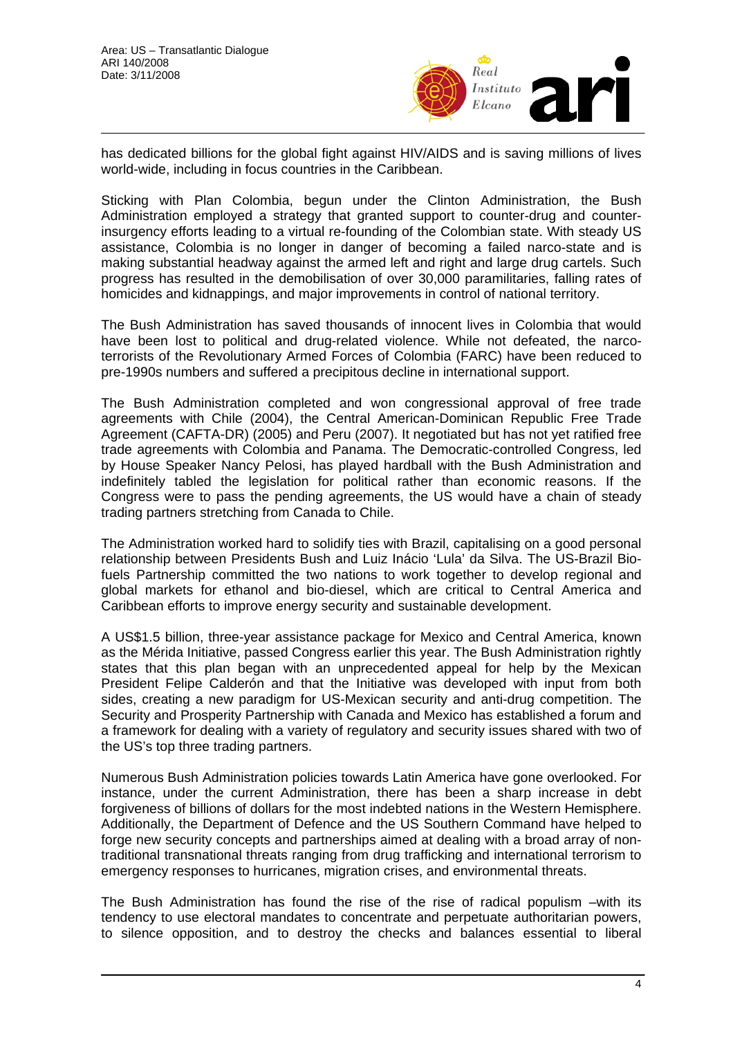

has dedicated billions for the global fight against HIV/AIDS and is saving millions of lives world-wide, including in focus countries in the Caribbean.

Sticking with Plan Colombia, begun under the Clinton Administration, the Bush Administration employed a strategy that granted support to counter-drug and counterinsurgency efforts leading to a virtual re-founding of the Colombian state. With steady US assistance, Colombia is no longer in danger of becoming a failed narco-state and is making substantial headway against the armed left and right and large drug cartels. Such progress has resulted in the demobilisation of over 30,000 paramilitaries, falling rates of homicides and kidnappings, and major improvements in control of national territory.

The Bush Administration has saved thousands of innocent lives in Colombia that would have been lost to political and drug-related violence. While not defeated, the narcoterrorists of the Revolutionary Armed Forces of Colombia (FARC) have been reduced to pre-1990s numbers and suffered a precipitous decline in international support.

The Bush Administration completed and won congressional approval of free trade agreements with Chile (2004), the Central American-Dominican Republic Free Trade Agreement (CAFTA-DR) (2005) and Peru (2007). It negotiated but has not yet ratified free trade agreements with Colombia and Panama. The Democratic-controlled Congress, led by House Speaker Nancy Pelosi, has played hardball with the Bush Administration and indefinitely tabled the legislation for political rather than economic reasons. If the Congress were to pass the pending agreements, the US would have a chain of steady trading partners stretching from Canada to Chile.

The Administration worked hard to solidify ties with Brazil, capitalising on a good personal relationship between Presidents Bush and Luiz Inácio 'Lula' da Silva. The US-Brazil Biofuels Partnership committed the two nations to work together to develop regional and global markets for ethanol and bio-diesel, which are critical to Central America and Caribbean efforts to improve energy security and sustainable development.

A US\$1.5 billion, three-year assistance package for Mexico and Central America, known as the Mérida Initiative, passed Congress earlier this year. The Bush Administration rightly states that this plan began with an unprecedented appeal for help by the Mexican President Felipe Calderón and that the Initiative was developed with input from both sides, creating a new paradigm for US-Mexican security and anti-drug competition. The Security and Prosperity Partnership with Canada and Mexico has established a forum and a framework for dealing with a variety of regulatory and security issues shared with two of the US's top three trading partners.

Numerous Bush Administration policies towards Latin America have gone overlooked. For instance, under the current Administration, there has been a sharp increase in debt forgiveness of billions of dollars for the most indebted nations in the Western Hemisphere. Additionally, the Department of Defence and the US Southern Command have helped to forge new security concepts and partnerships aimed at dealing with a broad array of nontraditional transnational threats ranging from drug trafficking and international terrorism to emergency responses to hurricanes, migration crises, and environmental threats.

The Bush Administration has found the rise of the rise of radical populism –with its tendency to use electoral mandates to concentrate and perpetuate authoritarian powers, to silence opposition, and to destroy the checks and balances essential to liberal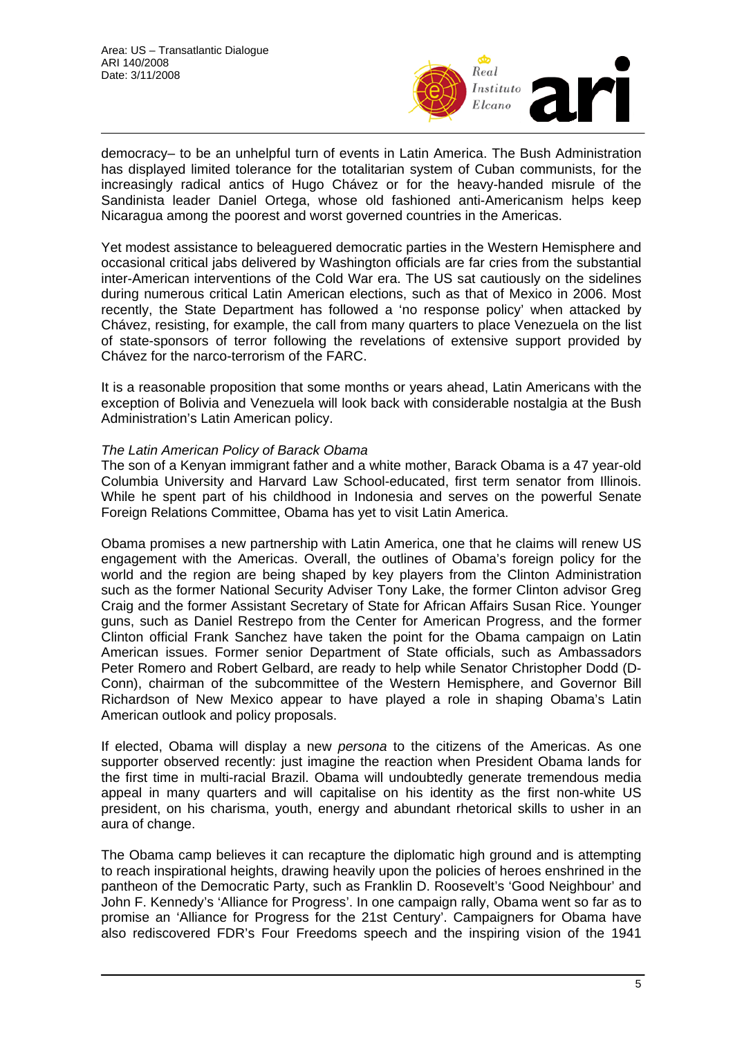

democracy– to be an unhelpful turn of events in Latin America. The Bush Administration has displayed limited tolerance for the totalitarian system of Cuban communists, for the increasingly radical antics of Hugo Chávez or for the heavy-handed misrule of the Sandinista leader Daniel Ortega, whose old fashioned anti-Americanism helps keep Nicaragua among the poorest and worst governed countries in the Americas.

Yet modest assistance to beleaguered democratic parties in the Western Hemisphere and occasional critical jabs delivered by Washington officials are far cries from the substantial inter-American interventions of the Cold War era. The US sat cautiously on the sidelines during numerous critical Latin American elections, such as that of Mexico in 2006. Most recently, the State Department has followed a 'no response policy' when attacked by Chávez, resisting, for example, the call from many quarters to place Venezuela on the list of state-sponsors of terror following the revelations of extensive support provided by Chávez for the narco-terrorism of the FARC.

It is a reasonable proposition that some months or years ahead, Latin Americans with the exception of Bolivia and Venezuela will look back with considerable nostalgia at the Bush Administration's Latin American policy.

#### *The Latin American Policy of Barack Obama*

The son of a Kenyan immigrant father and a white mother, Barack Obama is a 47 year-old Columbia University and Harvard Law School-educated, first term senator from Illinois. While he spent part of his childhood in Indonesia and serves on the powerful Senate Foreign Relations Committee, Obama has yet to visit Latin America.

Obama promises a new partnership with Latin America, one that he claims will renew US engagement with the Americas. Overall, the outlines of Obama's foreign policy for the world and the region are being shaped by key players from the Clinton Administration such as the former National Security Adviser Tony Lake, the former Clinton advisor Greg Craig and the former Assistant Secretary of State for African Affairs Susan Rice. Younger guns, such as Daniel Restrepo from the Center for American Progress, and the former Clinton official Frank Sanchez have taken the point for the Obama campaign on Latin American issues. Former senior Department of State officials, such as Ambassadors Peter Romero and Robert Gelbard, are ready to help while Senator Christopher Dodd (D-Conn), chairman of the subcommittee of the Western Hemisphere, and Governor Bill Richardson of New Mexico appear to have played a role in shaping Obama's Latin American outlook and policy proposals.

If elected, Obama will display a new *persona* to the citizens of the Americas. As one supporter observed recently: just imagine the reaction when President Obama lands for the first time in multi-racial Brazil. Obama will undoubtedly generate tremendous media appeal in many quarters and will capitalise on his identity as the first non-white US president, on his charisma, youth, energy and abundant rhetorical skills to usher in an aura of change.

The Obama camp believes it can recapture the diplomatic high ground and is attempting to reach inspirational heights, drawing heavily upon the policies of heroes enshrined in the pantheon of the Democratic Party, such as Franklin D. Roosevelt's 'Good Neighbour' and John F. Kennedy's 'Alliance for Progress'. In one campaign rally, Obama went so far as to promise an 'Alliance for Progress for the 21st Century'. Campaigners for Obama have also rediscovered FDR's Four Freedoms speech and the inspiring vision of the 1941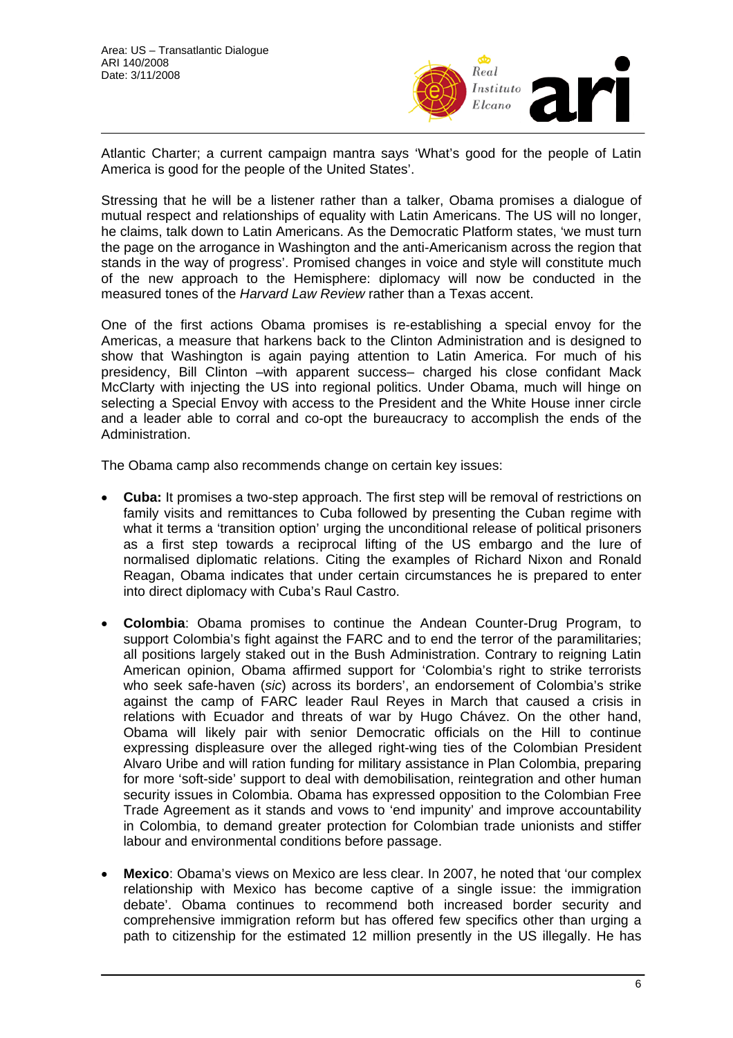

Atlantic Charter; a current campaign mantra says 'What's good for the people of Latin America is good for the people of the United States'.

Stressing that he will be a listener rather than a talker, Obama promises a dialogue of mutual respect and relationships of equality with Latin Americans. The US will no longer, he claims, talk down to Latin Americans. As the Democratic Platform states, 'we must turn the page on the arrogance in Washington and the anti-Americanism across the region that stands in the way of progress'. Promised changes in voice and style will constitute much of the new approach to the Hemisphere: diplomacy will now be conducted in the measured tones of the *Harvard Law Review* rather than a Texas accent.

One of the first actions Obama promises is re-establishing a special envoy for the Americas, a measure that harkens back to the Clinton Administration and is designed to show that Washington is again paying attention to Latin America. For much of his presidency, Bill Clinton –with apparent success– charged his close confidant Mack McClarty with injecting the US into regional politics. Under Obama, much will hinge on selecting a Special Envoy with access to the President and the White House inner circle and a leader able to corral and co-opt the bureaucracy to accomplish the ends of the Administration.

The Obama camp also recommends change on certain key issues:

- **Cuba:** It promises a two-step approach. The first step will be removal of restrictions on family visits and remittances to Cuba followed by presenting the Cuban regime with what it terms a 'transition option' urging the unconditional release of political prisoners as a first step towards a reciprocal lifting of the US embargo and the lure of normalised diplomatic relations. Citing the examples of Richard Nixon and Ronald Reagan, Obama indicates that under certain circumstances he is prepared to enter into direct diplomacy with Cuba's Raul Castro.
- **Colombia**: Obama promises to continue the Andean Counter-Drug Program, to support Colombia's fight against the FARC and to end the terror of the paramilitaries; all positions largely staked out in the Bush Administration. Contrary to reigning Latin American opinion, Obama affirmed support for 'Colombia's right to strike terrorists who seek safe-haven (*sic*) across its borders', an endorsement of Colombia's strike against the camp of FARC leader Raul Reyes in March that caused a crisis in relations with Ecuador and threats of war by Hugo Chávez. On the other hand, Obama will likely pair with senior Democratic officials on the Hill to continue expressing displeasure over the alleged right-wing ties of the Colombian President Alvaro Uribe and will ration funding for military assistance in Plan Colombia, preparing for more 'soft-side' support to deal with demobilisation, reintegration and other human security issues in Colombia. Obama has expressed opposition to the Colombian Free Trade Agreement as it stands and vows to 'end impunity' and improve accountability in Colombia, to demand greater protection for Colombian trade unionists and stiffer labour and environmental conditions before passage.
- **Mexico**: Obama's views on Mexico are less clear. In 2007, he noted that 'our complex relationship with Mexico has become captive of a single issue: the immigration debate'. Obama continues to recommend both increased border security and comprehensive immigration reform but has offered few specifics other than urging a path to citizenship for the estimated 12 million presently in the US illegally. He has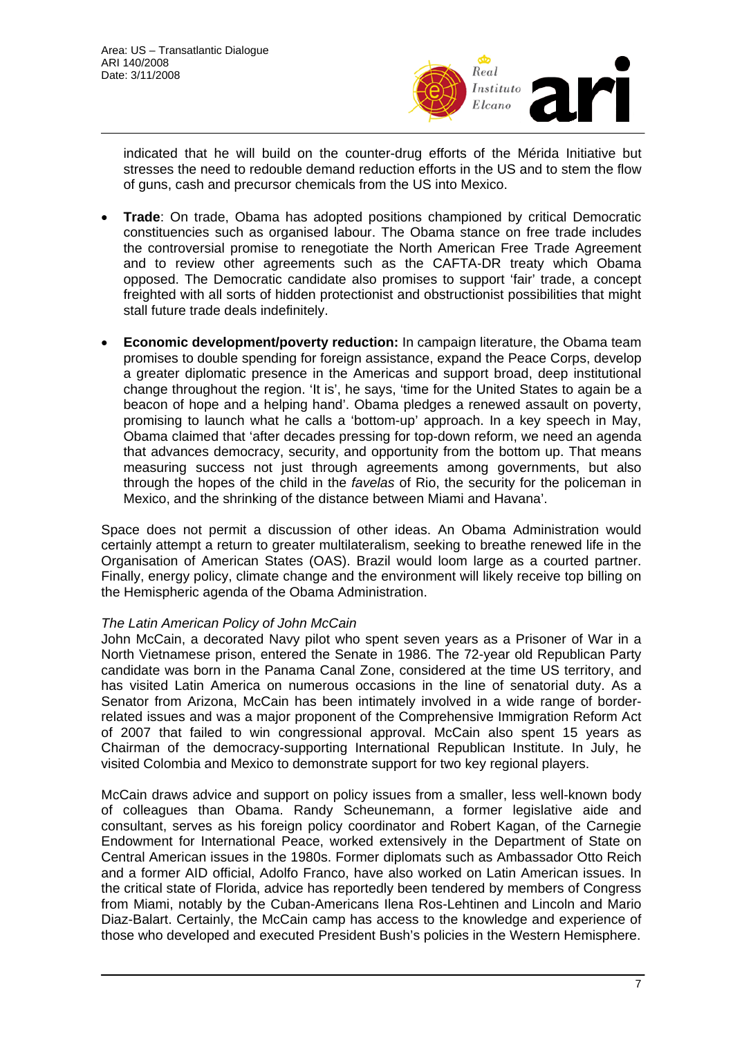

indicated that he will build on the counter-drug efforts of the Mérida Initiative but stresses the need to redouble demand reduction efforts in the US and to stem the flow of guns, cash and precursor chemicals from the US into Mexico.

- **Trade**: On trade, Obama has adopted positions championed by critical Democratic constituencies such as organised labour. The Obama stance on free trade includes the controversial promise to renegotiate the North American Free Trade Agreement and to review other agreements such as the CAFTA-DR treaty which Obama opposed. The Democratic candidate also promises to support 'fair' trade, a concept freighted with all sorts of hidden protectionist and obstructionist possibilities that might stall future trade deals indefinitely.
- **Economic development/poverty reduction:** In campaign literature, the Obama team promises to double spending for foreign assistance, expand the Peace Corps, develop a greater diplomatic presence in the Americas and support broad, deep institutional change throughout the region. 'It is', he says, 'time for the United States to again be a beacon of hope and a helping hand'. Obama pledges a renewed assault on poverty, promising to launch what he calls a 'bottom-up' approach. In a key speech in May, Obama claimed that 'after decades pressing for top-down reform, we need an agenda that advances democracy, security, and opportunity from the bottom up. That means measuring success not just through agreements among governments, but also through the hopes of the child in the *favelas* of Rio, the security for the policeman in Mexico, and the shrinking of the distance between Miami and Havana'.

Space does not permit a discussion of other ideas. An Obama Administration would certainly attempt a return to greater multilateralism, seeking to breathe renewed life in the Organisation of American States (OAS). Brazil would loom large as a courted partner. Finally, energy policy, climate change and the environment will likely receive top billing on the Hemispheric agenda of the Obama Administration.

## *The Latin American Policy of John McCain*

John McCain, a decorated Navy pilot who spent seven years as a Prisoner of War in a North Vietnamese prison, entered the Senate in 1986. The 72-year old Republican Party candidate was born in the Panama Canal Zone, considered at the time US territory, and has visited Latin America on numerous occasions in the line of senatorial duty. As a Senator from Arizona, McCain has been intimately involved in a wide range of borderrelated issues and was a major proponent of the Comprehensive Immigration Reform Act of 2007 that failed to win congressional approval. McCain also spent 15 years as Chairman of the democracy-supporting International Republican Institute. In July, he visited Colombia and Mexico to demonstrate support for two key regional players.

McCain draws advice and support on policy issues from a smaller, less well-known body of colleagues than Obama. Randy Scheunemann, a former legislative aide and consultant, serves as his foreign policy coordinator and Robert Kagan, of the Carnegie Endowment for International Peace, worked extensively in the Department of State on Central American issues in the 1980s. Former diplomats such as Ambassador Otto Reich and a former AID official, Adolfo Franco, have also worked on Latin American issues. In the critical state of Florida, advice has reportedly been tendered by members of Congress from Miami, notably by the Cuban-Americans Ilena Ros-Lehtinen and Lincoln and Mario Diaz-Balart. Certainly, the McCain camp has access to the knowledge and experience of those who developed and executed President Bush's policies in the Western Hemisphere.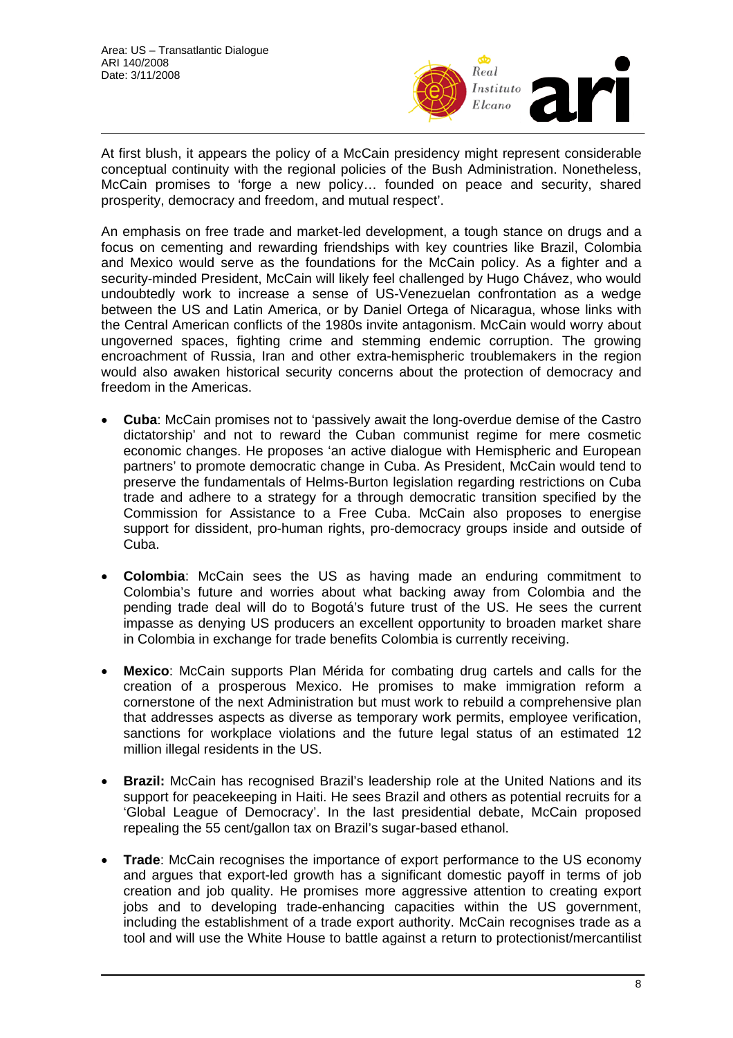

At first blush, it appears the policy of a McCain presidency might represent considerable conceptual continuity with the regional policies of the Bush Administration. Nonetheless, McCain promises to 'forge a new policy… founded on peace and security, shared prosperity, democracy and freedom, and mutual respect'.

An emphasis on free trade and market-led development, a tough stance on drugs and a focus on cementing and rewarding friendships with key countries like Brazil, Colombia and Mexico would serve as the foundations for the McCain policy. As a fighter and a security-minded President, McCain will likely feel challenged by Hugo Chávez, who would undoubtedly work to increase a sense of US-Venezuelan confrontation as a wedge between the US and Latin America, or by Daniel Ortega of Nicaragua, whose links with the Central American conflicts of the 1980s invite antagonism. McCain would worry about ungoverned spaces, fighting crime and stemming endemic corruption. The growing encroachment of Russia, Iran and other extra-hemispheric troublemakers in the region would also awaken historical security concerns about the protection of democracy and freedom in the Americas.

- **Cuba**: McCain promises not to 'passively await the long-overdue demise of the Castro dictatorship' and not to reward the Cuban communist regime for mere cosmetic economic changes. He proposes 'an active dialogue with Hemispheric and European partners' to promote democratic change in Cuba. As President, McCain would tend to preserve the fundamentals of Helms-Burton legislation regarding restrictions on Cuba trade and adhere to a strategy for a through democratic transition specified by the Commission for Assistance to a Free Cuba. McCain also proposes to energise support for dissident, pro-human rights, pro-democracy groups inside and outside of Cuba.
- **Colombia**: McCain sees the US as having made an enduring commitment to Colombia's future and worries about what backing away from Colombia and the pending trade deal will do to Bogotá's future trust of the US. He sees the current impasse as denying US producers an excellent opportunity to broaden market share in Colombia in exchange for trade benefits Colombia is currently receiving.
- **Mexico**: McCain supports Plan Mérida for combating drug cartels and calls for the creation of a prosperous Mexico. He promises to make immigration reform a cornerstone of the next Administration but must work to rebuild a comprehensive plan that addresses aspects as diverse as temporary work permits, employee verification, sanctions for workplace violations and the future legal status of an estimated 12 million illegal residents in the US.
- **Brazil:** McCain has recognised Brazil's leadership role at the United Nations and its support for peacekeeping in Haiti. He sees Brazil and others as potential recruits for a 'Global League of Democracy'. In the last presidential debate, McCain proposed repealing the 55 cent/gallon tax on Brazil's sugar-based ethanol.
- **Trade**: McCain recognises the importance of export performance to the US economy and argues that export-led growth has a significant domestic payoff in terms of job creation and job quality. He promises more aggressive attention to creating export jobs and to developing trade-enhancing capacities within the US government, including the establishment of a trade export authority. McCain recognises trade as a tool and will use the White House to battle against a return to protectionist/mercantilist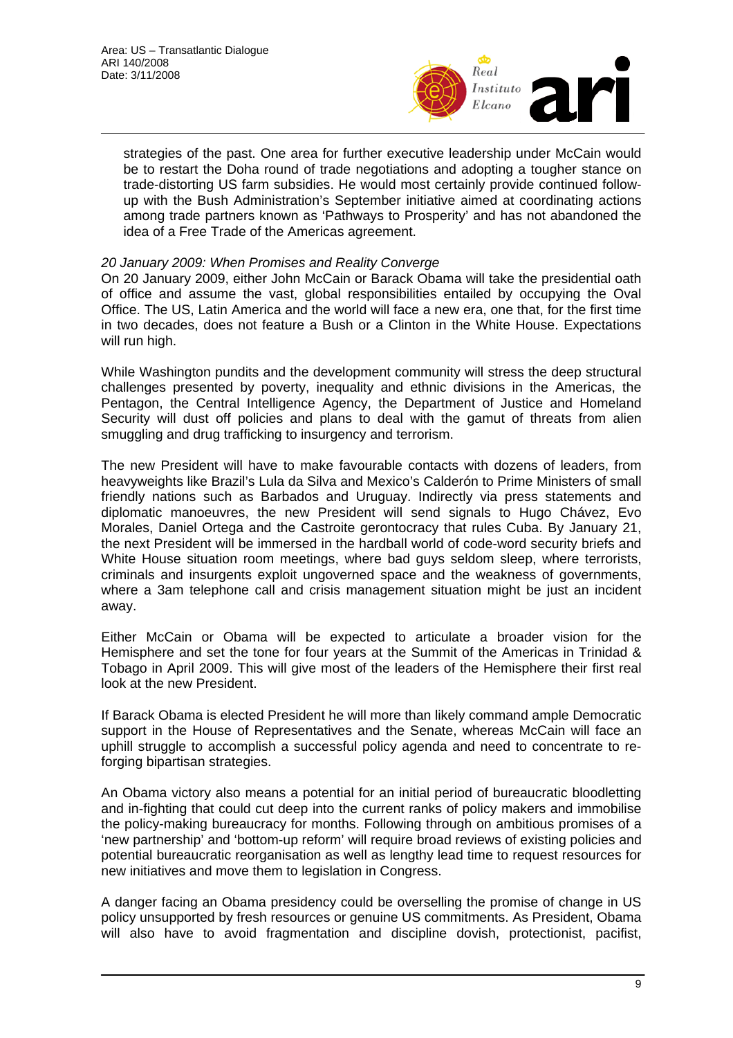

strategies of the past. One area for further executive leadership under McCain would be to restart the Doha round of trade negotiations and adopting a tougher stance on trade-distorting US farm subsidies. He would most certainly provide continued followup with the Bush Administration's September initiative aimed at coordinating actions among trade partners known as 'Pathways to Prosperity' and has not abandoned the idea of a Free Trade of the Americas agreement.

## *20 January 2009: When Promises and Reality Converge*

On 20 January 2009, either John McCain or Barack Obama will take the presidential oath of office and assume the vast, global responsibilities entailed by occupying the Oval Office. The US, Latin America and the world will face a new era, one that, for the first time in two decades, does not feature a Bush or a Clinton in the White House. Expectations will run high.

While Washington pundits and the development community will stress the deep structural challenges presented by poverty, inequality and ethnic divisions in the Americas, the Pentagon, the Central Intelligence Agency, the Department of Justice and Homeland Security will dust off policies and plans to deal with the gamut of threats from alien smuggling and drug trafficking to insurgency and terrorism.

The new President will have to make favourable contacts with dozens of leaders, from heavyweights like Brazil's Lula da Silva and Mexico's Calderón to Prime Ministers of small friendly nations such as Barbados and Uruguay. Indirectly via press statements and diplomatic manoeuvres, the new President will send signals to Hugo Chávez, Evo Morales, Daniel Ortega and the Castroite gerontocracy that rules Cuba. By January 21, the next President will be immersed in the hardball world of code-word security briefs and White House situation room meetings, where bad guys seldom sleep, where terrorists, criminals and insurgents exploit ungoverned space and the weakness of governments, where a 3am telephone call and crisis management situation might be just an incident away.

Either McCain or Obama will be expected to articulate a broader vision for the Hemisphere and set the tone for four years at the Summit of the Americas in Trinidad & Tobago in April 2009. This will give most of the leaders of the Hemisphere their first real look at the new President.

If Barack Obama is elected President he will more than likely command ample Democratic support in the House of Representatives and the Senate, whereas McCain will face an uphill struggle to accomplish a successful policy agenda and need to concentrate to reforging bipartisan strategies.

An Obama victory also means a potential for an initial period of bureaucratic bloodletting and in-fighting that could cut deep into the current ranks of policy makers and immobilise the policy-making bureaucracy for months. Following through on ambitious promises of a 'new partnership' and 'bottom-up reform' will require broad reviews of existing policies and potential bureaucratic reorganisation as well as lengthy lead time to request resources for new initiatives and move them to legislation in Congress.

A danger facing an Obama presidency could be overselling the promise of change in US policy unsupported by fresh resources or genuine US commitments. As President, Obama will also have to avoid fragmentation and discipline dovish, protectionist, pacifist,